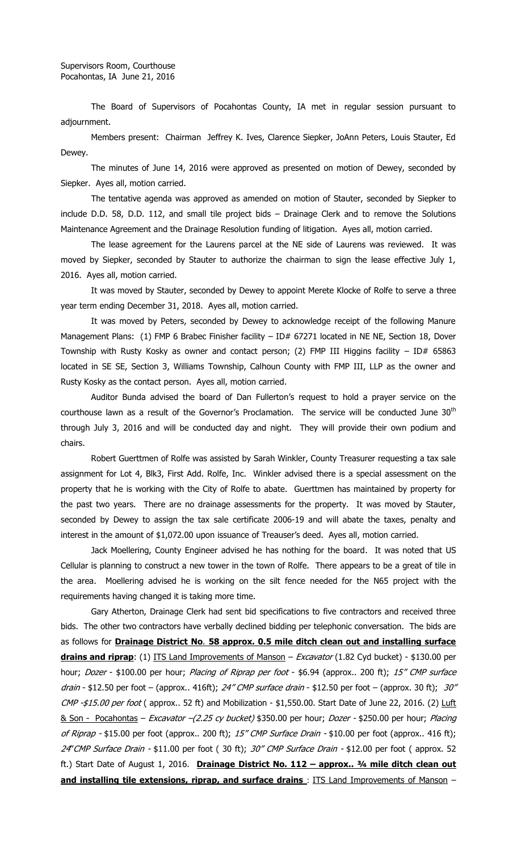The Board of Supervisors of Pocahontas County, IA met in regular session pursuant to adjournment.

Members present: Chairman Jeffrey K. Ives, Clarence Siepker, JoAnn Peters, Louis Stauter, Ed Dewey.

The minutes of June 14, 2016 were approved as presented on motion of Dewey, seconded by Siepker. Ayes all, motion carried.

The tentative agenda was approved as amended on motion of Stauter, seconded by Siepker to include D.D. 58, D.D. 112, and small tile project bids – Drainage Clerk and to remove the Solutions Maintenance Agreement and the Drainage Resolution funding of litigation. Ayes all, motion carried.

The lease agreement for the Laurens parcel at the NE side of Laurens was reviewed. It was moved by Siepker, seconded by Stauter to authorize the chairman to sign the lease effective July 1, 2016. Ayes all, motion carried.

It was moved by Stauter, seconded by Dewey to appoint Merete Klocke of Rolfe to serve a three year term ending December 31, 2018. Ayes all, motion carried.

It was moved by Peters, seconded by Dewey to acknowledge receipt of the following Manure Management Plans: (1) FMP 6 Brabec Finisher facility - ID# 67271 located in NE NE, Section 18, Dover Township with Rusty Kosky as owner and contact person; (2) FMP III Higgins facility  $-$  ID# 65863 located in SE SE, Section 3, Williams Township, Calhoun County with FMP III, LLP as the owner and Rusty Kosky as the contact person. Ayes all, motion carried.

Auditor Bunda advised the board of Dan Fullerton's request to hold a prayer service on the courthouse lawn as a result of the Governor's Proclamation. The service will be conducted June 30<sup>th</sup> through July 3, 2016 and will be conducted day and night. They will provide their own podium and chairs.

Robert Guerttmen of Rolfe was assisted by Sarah Winkler, County Treasurer requesting a tax sale assignment for Lot 4, Blk3, First Add. Rolfe, Inc. Winkler advised there is a special assessment on the property that he is working with the City of Rolfe to abate. Guerttmen has maintained by property for the past two years. There are no drainage assessments for the property. It was moved by Stauter, seconded by Dewey to assign the tax sale certificate 2006-19 and will abate the taxes, penalty and interest in the amount of \$1,072.00 upon issuance of Treauser's deed. Ayes all, motion carried.

Jack Moellering, County Engineer advised he has nothing for the board. It was noted that US Cellular is planning to construct a new tower in the town of Rolfe. There appears to be a great of tile in the area. Moellering advised he is working on the silt fence needed for the N65 project with the requirements having changed it is taking more time.

Gary Atherton, Drainage Clerk had sent bid specifications to five contractors and received three bids. The other two contractors have verbally declined bidding per telephonic conversation. The bids are as follows for **Drainage District No**. **58 approx. 0.5 mile ditch clean out and installing surface drains and riprap**: (1) ITS Land Improvements of Manson – Excavator (1.82 Cyd bucket) - \$130.00 per hour; *Dozer* - \$100.00 per hour; Placing of Riprap per foot - \$6.94 (approx.. 200 ft); 15" CMP surface drain - \$12.50 per foot – (approx.. 416ft); 24" CMP surface drain - \$12.50 per foot – (approx. 30 ft); 30"  $CMP - $15.00$  per foot (approx.. 52 ft) and Mobilization - \$1,550.00. Start Date of June 22, 2016. (2) Luft & Son - Pocahontas - Excavator -(2.25 cy bucket) \$350.00 per hour; Dozer - \$250.00 per hour; Placing of Riprap - \$15.00 per foot (approx.. 200 ft);  $15''$  CMP Surface Drain - \$10.00 per foot (approx.. 416 ft); 24' CMP Surface Drain - \$11.00 per foot (30 ft); 30" CMP Surface Drain - \$12.00 per foot (approx. 52 ft.) Start Date of August 1, 2016. **Drainage District No. 112 – approx.. ¾ mile ditch clean out and installing tile extensions, riprap, and surface drains** : ITS Land Improvements of Manson –